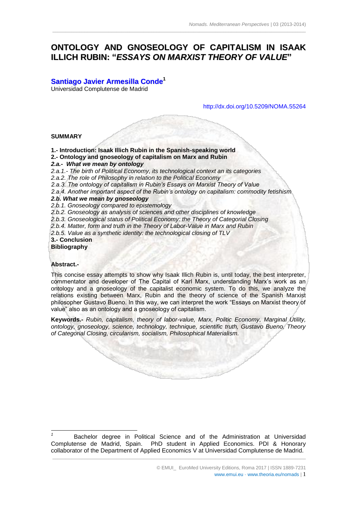# **ONTOLOGY AND GNOSEOLOGY OF CAPITALISM IN ISAAK ILLICH RUBIN: "***ESSAYS ON MARXIST THEORY OF VALUE***"**

 $\_$  ,  $\_$  ,  $\_$  ,  $\_$  ,  $\_$  ,  $\_$  ,  $\_$  ,  $\_$  ,  $\_$  ,  $\_$  ,  $\_$  ,  $\_$  ,  $\_$  ,  $\_$  ,  $\_$  ,  $\_$  ,  $\_$  ,  $\_$  ,  $\_$  ,  $\_$  ,  $\_$  ,  $\_$  ,  $\_$  ,  $\_$  ,  $\_$  ,  $\_$  ,  $\_$  ,  $\_$  ,  $\_$  ,  $\_$  ,  $\_$  ,  $\_$  ,  $\_$  ,  $\_$  ,  $\_$  ,  $\_$  ,  $\_$  ,

# **Santiago Javier [Armesilla](mailto:sjarmesi@pdi.ucm.es) Conde 1**

Universidad Complutense de Madrid

<http://dx.doi.org/10.5209/NOMA.55264>

#### **SUMMARY**

#### **1.- Introduction: Isaak Illich Rubin in the Spanish-speaking world**

#### **2.- Ontology and gnoseology of capitalism on Marx and Rubin**

#### *2.a.- What we mean by ontology*

*2.a.1.- The birth of Political Economy, its technological context an its categories*

*2.a.2. The role of Philosophy in relation to the Political Economy*

- *2.a.3. The ontology of capitalism in Rubin's Essays on Marxist Theory of Value*
- *2.a.4. Another important aspect of the Rubin's ontology on capitalism: commodity fetishism*

#### *2.b. What we mean by gnoseology*

*2.b.1. Gnoseology compared to epistemology*

- *2.b.2. Gnoseology as analysis of sciences and other disciplines of knowledge*
- *2.b.3. Gnoseological status of Political Economy: the Theory of Categorial Closing*
- *2.b.4. Matter, form and truth in the Theory of Labor-Value in Marx and Rubin*

*2.b.5. Value as a synthetic identity: the technological closing of TLV*

**3.- Conclusion**

**Bibliography**

#### **Abstract.-**

-

This concise essay attempts to show why Isaak Illich Rubin is, until today, the best interpreter, commentator and developer of The Capital of Karl Marx, understanding Marx's work as an ontology and a gnoseology of the capitalist economic system. To do this, we analyze the relations existing between Marx, Rubin and the theory of science of the Spanish Marxist philosopher Gustavo Bueno. In this way, we can interpret the work "Essays on Marxist theory of value" also as an ontology and a gnoseology of capitalism.

**Keywords.-** *Rubin, capitalism, theory of labor-value, Marx, Politic Economy, Marginal Utility, ontology, gnoseology, science, technology, technique, scientific truth, Gustavo Bueno, Theory of Categorial Closing, circularism, socialism, Philosophical Materialism.*

\_\_\_\_\_\_\_\_\_\_\_\_\_\_\_\_\_\_\_\_\_\_\_\_\_\_\_\_\_\_\_\_\_\_\_\_\_\_\_\_\_\_\_\_\_\_\_\_\_\_\_\_\_\_\_\_\_\_\_\_\_\_\_\_\_\_\_\_\_\_\_\_\_\_\_\_\_\_\_\_\_\_\_\_\_\_\_\_\_\_\_\_\_\_\_ *1* Bachelor degree in Political Science and of the Administration at Universidad Complutense de Madrid, Spain. PhD student in Applied Economics. PDI & Honorary collaborator of the Department of Applied Economics V at Universidad Complutense de Madrid.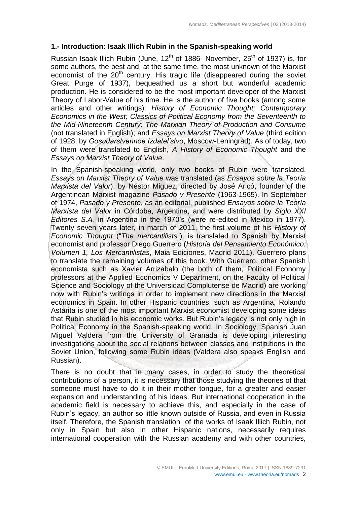## **1.- Introduction: Isaak Illich Rubin in the Spanish-speaking world**

Russian Isaak Illich Rubin (June,  $12<sup>th</sup>$  of 1886- November,  $25<sup>th</sup>$  of 1937) is, for some authors, the best and, at the same time, the most unknown of the Marxist economist of the  $20<sup>th</sup>$  century. His tragic life (disappeared during the soviet Great Purge of 1937), bequeathed us a short but wonderful academic production. He is considered to be the most important developer of the Marxist Theory of Labor-Value of his time. He is the author of five books (among some articles and other writings): *History of Economic Thought; Contemporary Economics in the West; Classics of Political Economy from the Seventeenth to the Mid-Nineteenth Century; The Marxian Theory of Production and Consume* (not translated in English); and *Essays on Marxist Theory of Value* (third edition of 1928, by *Gosudarstvennoe Izdatel'stvo*, Moscow-Leningrad). As of today, two of them were translated to English, *A History of Economic Thought* and the *Essays on Marxist Theory of Value*.

 $\_$  ,  $\_$  ,  $\_$  ,  $\_$  ,  $\_$  ,  $\_$  ,  $\_$  ,  $\_$  ,  $\_$  ,  $\_$  ,  $\_$  ,  $\_$  ,  $\_$  ,  $\_$  ,  $\_$  ,  $\_$  ,  $\_$  ,  $\_$  ,  $\_$  ,  $\_$  ,  $\_$  ,  $\_$  ,  $\_$  ,  $\_$  ,  $\_$  ,  $\_$  ,  $\_$  ,  $\_$  ,  $\_$  ,  $\_$  ,  $\_$  ,  $\_$  ,  $\_$  ,  $\_$  ,  $\_$  ,  $\_$  ,  $\_$  ,

In the Spanish-speaking world, only two books of Rubin were translated. *Essays on Marxist Theory of Value* was translated (as *Ensayos sobre la Teoría Marxista del Valor*), by Néstor Miguez, directed by José Aricó, founder of the Argentinean Marxist magazine *Pasado y Presente* (1963-1965). In September of 1974, *Pasado y Presente*, as an editorial, published *Ensayos sobre la Teoría Marxista del Valor* in Córdoba, Argentina, and were distributed by *Siglo XXI Editores S.A.* in Argentina in the 1970's (were re-edited in Mexico in 1977). Twenty seven years later, in march of 2011, the first volume of his *History of Economic Thought* ("*The mercantilists*"), is translated to Spanish by Marxist economist and professor Diego Guerrero (*Historia del Pensamiento Económico: Volumen 1, Los Mercantilistas*, Maia Ediciones, Madrid 2011). Guerrero plans to translate the remaining volumes of this book. With Guerrero, other Spanish economista such as Xavier Arrizabalo (the both of them, Political Economy professors at the Applied Economics V Department, on the Faculty of Political Science and Sociology of the Universidad Complutense de Madrid) are working now with Rubin's writings in order to implement new directions in the Marxist economics in Spain. In other Hispanic countries, such as Argentina, Rolando Astarita is one of the most important Marxist economist developing some ideas that Rubin studied in his economic works. But Rubin's legacy is not only high in Political Economy in the Spanish-speaking world. In Sociology, Spanish Juan Miguel Valdera from the University of Granada is developing interesting investigations about the social relations between classes and institutions in the Soviet Union, following some Rubin ideas (Valdera also speaks English and Russian).

There is no doubt that in many cases, in order to study the theoretical contributions of a person, it is necessary that those studying the theories of that someone must have to do it in their mother tongue, for a greater and easier expansion and understanding of his ideas. But international cooperation in the academic field is necessary to achieve this, and especially in the case of Rubin's legacy, an author so little known outside of Russia, and even in Russia itself. Therefore, the Spanish translation of the works of Isaak Illich Rubin, not only in Spain but also in other Hispanic nations, necessarily requires international cooperation with the Russian academy and with other countries,

<sup>©</sup> EMUI\_ EuroMed University Editions, Roma 2017 | ISSN 1889-7231 www.emui.eu · www.theoria.eu/nomads | 2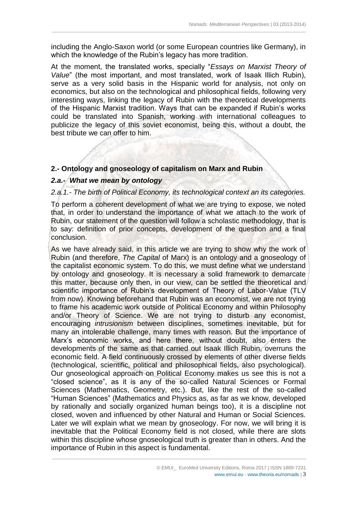including the Anglo-Saxon world (or some European countries like Germany), in which the knowledge of the Rubin's legacy has more tradition.

 $\_$  ,  $\_$  ,  $\_$  ,  $\_$  ,  $\_$  ,  $\_$  ,  $\_$  ,  $\_$  ,  $\_$  ,  $\_$  ,  $\_$  ,  $\_$  ,  $\_$  ,  $\_$  ,  $\_$  ,  $\_$  ,  $\_$  ,  $\_$  ,  $\_$  ,  $\_$  ,  $\_$  ,  $\_$  ,  $\_$  ,  $\_$  ,  $\_$  ,  $\_$  ,  $\_$  ,  $\_$  ,  $\_$  ,  $\_$  ,  $\_$  ,  $\_$  ,  $\_$  ,  $\_$  ,  $\_$  ,  $\_$  ,  $\_$  ,

At the moment, the translated works, specially "*Essays on Marxist Theory of Value*" (the most important, and most translated, work of Isaak Illich Rubin), serve as a very solid basis in the Hispanic world for analysis, not only on economics, but also on the technological and philosophical fields, following very interesting ways, linking the legacy of Rubin with the theoretical developments of the Hispanic Marxist tradition. Ways that can be expanded if Rubin's works could be translated into Spanish, working with international colleagues to publicize the legacy of this soviet economist, being this, without a doubt, the best tribute we can offer to him.

### **2.- Ontology and gnoseology of capitalism on Marx and Rubin**

### *2.a.- What we mean by ontology*

#### *2.a.1.- The birth of Political Economy, its technological context an its categories.*

To perform a coherent development of what we are trying to expose, we noted that, in order to understand the importance of what we attach to the work of Rubin, our statement of the question will follow a scholastic methodology, that is to say: definition of prior concepts, development of the question and a final conclusion.

As we have already said, in this article we are trying to show why the work of Rubin (and therefore, *The Capital* of Marx) is an ontology and a gnoseology of the capitalist economic system. To do this, we must define what we understand by ontology and gnoseology. It is necessary a solid framework to demarcate this matter, because only then, in our view, can be settled the theoretical and scientific importance of Rubin's development of Theory of Labor-Value (TLV from now). Knowing beforehand that Rubin was an economist, we are not trying to frame his academic work outside of Political Economy and within Philosophy and/or Theory of Science. We are not trying to disturb any economist, encouraging *intrusionism* between disciplines, sometimes inevitable, but for many an intolerable challenge, many times with reason. But the importance of Marx's economic works, and here there, without doubt, also enters the developments of the same as that carried out Isaak Illich Rubin, overruns the economic field. A field continuously crossed by elements of other diverse fields (technological, scientific, political and philosophical fields, also psychological). Our gnoseological approach on Political Economy makes us see this is not a "closed science", as it is any of the so-called Natural Sciences or Formal Sciences (Mathematics, Geometry, etc.). But, like the rest of the so-called "Human Sciences" (Mathematics and Physics as, as far as we know, developed by rationally and socially organized human beings too), it is a discipline not closed, woven and influenced by other Natural and Human or Social Sciences. Later we will explain what we mean by gnoseology. For now, we will bring it is inevitable that the Political Economy field is not closed, while there are slots within this discipline whose gnoseological truth is greater than in others. And the importance of Rubin in this aspect is fundamental.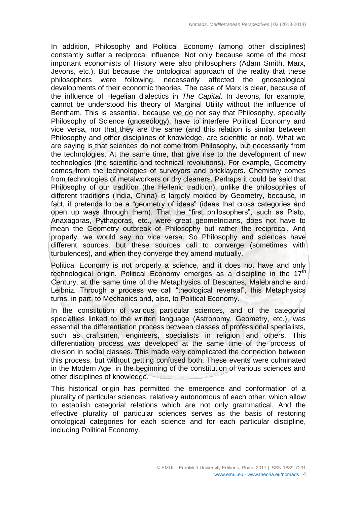In addition, Philosophy and Political Economy (among other disciplines) constantly suffer a reciprocal influence. Not only because some of the most important economists of History were also philosophers (Adam Smith, Marx, Jevons, etc.). But because the ontological approach of the reality that these philosophers were following, necessarily affected the gnoseological developments of their economic theories. The case of Marx is clear, because of the influence of Hegelian dialectics in *The Capital*. In Jevons, for example, cannot be understood his theory of Marginal Utility without the influence of Bentham. This is essential, because we do not say that Philosophy, specially Philosophy of Science (gnoseology), have to interfere Political Economy and vice versa, nor that they are the same (and this relation is similar between Philosophy and other disciplines of knowledge, are scientific or not). What we are saying is that sciences do not come from Philosophy, but necessarily from the technologies. At the same time, that give rise to the development of new technologies (the scientific and technical revolutions). For example, Geometry comes from the technologies of surveyors and bricklayers. Chemistry comes from technologies of metalworkers or dry cleaners. Perhaps it could be said that Philosophy of our tradition (the Hellenic tradition), unlike the philosophies of different traditions (India, China) is largely molded by Geometry, because, in fact, it pretends to be a "geometry of ideas" (ideas that cross categories and open up ways through them). That the "first philosophers", such as Plato, Anaxagoras, Pythagoras, etc., were great geometricians, does not have to mean the Geometry outbreak of Philosophy but rather the reciprocal. And properly, we would say no vice versa. So Philosophy and sciences have different sources, but these sources call to converge (sometimes with turbulences), and when they converge they amend mutually.

 $\_$  ,  $\_$  ,  $\_$  ,  $\_$  ,  $\_$  ,  $\_$  ,  $\_$  ,  $\_$  ,  $\_$  ,  $\_$  ,  $\_$  ,  $\_$  ,  $\_$  ,  $\_$  ,  $\_$  ,  $\_$  ,  $\_$  ,  $\_$  ,  $\_$  ,  $\_$  ,  $\_$  ,  $\_$  ,  $\_$  ,  $\_$  ,  $\_$  ,  $\_$  ,  $\_$  ,  $\_$  ,  $\_$  ,  $\_$  ,  $\_$  ,  $\_$  ,  $\_$  ,  $\_$  ,  $\_$  ,  $\_$  ,  $\_$  ,

Political Economy is not properly a science, and it does not have and only technological origin. Political Economy emerges as a discipline in the  $17<sup>th</sup>$ Century, at the same time of the Metaphysics of Descartes, Malebranche and Leibniz. Through a process we call "theological reversal", this Metaphysics turns, in part, to Mechanics and, also, to Political Economy.

In the constitution of various particular sciences, and of the categorial specialties linked to the written language (Astronomy, Geometry, etc.), was essential the differentiation process between classes of professional specialists, such as craftsmen, engineers, specialists in religion and others. This differentiation process was developed at the same time of the process of division in social classes. This made very complicated the connection between this process, but without getting confused both. These events were culminated in the Modern Age, in the beginning of the constitution of various sciences and other disciplines of knowledge.

This historical origin has permitted the emergence and conformation of a plurality of particular sciences, relatively autonomous of each other, which allow to establish categorial relations which are not only grammatical. And the effective plurality of particular sciences serves as the basis of restoring ontological categories for each science and for each particular discipline, including Political Economy.

© EMUI\_ EuroMed University Editions, Roma 2017 | ISSN 1889-7231 www.emui.eu · www.theoria.eu/nomads | 4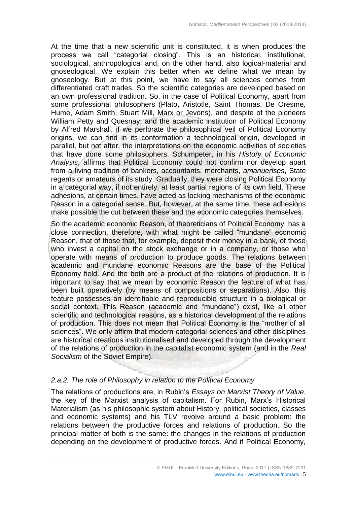At the time that a new scientific unit is constituted, it is when produces the process we call "categorial closing". This is an historical, institutional, sociological, anthropological and, on the other hand, also logical-material and gnoseological. We explain this better when we define what we mean by gnoseology. But at this point, we have to say all sciences comes from differentiated craft trades. So the scientific categories are developed based on an own professional tradition. So, in the case of Political Economy, apart from some professional philosophers (Plato, Aristotle, Saint Thomas, De Oresme, Hume, Adam Smith, Stuart Mill, Marx or Jevons), and despite of the pioneers William Petty and Quesnay, and the academic institution of Political Economy by Alfred Marshall, if we perforate the philosophical veil of Political Economy origins, we can find in its conformation a technological origin, developed in parallel, but not after, the interpretations on the economic activities of societies that have done some philosophers. Schumpeter, in his *History of Economic Analysis*, affirms that Political Economy could not confirm nor develop apart from a living tradition of bankers, accountants, merchants, *amanuenses*, State regents or amateurs of its study. Gradually, they were closing Political Economy in a categorial way, if not entirely, at least partial regions of its own field. These adhesions, at certain times, have acted as locking mechanisms of the economic Reason in a categorial sense. But, however, at the same time, these adhesions make possible the cut between these and the economic categories themselves.

 $\_$  ,  $\_$  ,  $\_$  ,  $\_$  ,  $\_$  ,  $\_$  ,  $\_$  ,  $\_$  ,  $\_$  ,  $\_$  ,  $\_$  ,  $\_$  ,  $\_$  ,  $\_$  ,  $\_$  ,  $\_$  ,  $\_$  ,  $\_$  ,  $\_$  ,  $\_$  ,  $\_$  ,  $\_$  ,  $\_$  ,  $\_$  ,  $\_$  ,  $\_$  ,  $\_$  ,  $\_$  ,  $\_$  ,  $\_$  ,  $\_$  ,  $\_$  ,  $\_$  ,  $\_$  ,  $\_$  ,  $\_$  ,  $\_$  ,

So the academic economic Reason, of theoreticians of Political Economy, has a close connection, therefore, with what might be called "mundane" economic Reason, that of those that, for example, deposit their money in a bank, of those who invest a capital on the stock exchange or in a company, or those who operate with means of production to produce goods. The relations between academic and mundane economic Reasons are the base of the Political Economy field. And the both are a product of the relations of production. It is important to say that we mean by economic Reason the feature of what has been built operatively (by means of compositions or separations). Also, this feature possesses an identifiable and reproducible structure in a biological or social context. This Reason (academic and "mundane") exist, like all other scientific and technological reasons, as a historical development of the relations of production. This does not mean that Political Economy is the "mother of all sciences". We only affirm that modern categorial sciences and other disciplines are historical creations institutionalised and developed through the development of the relations of production in the capitalist economic system (and in the *Real Socialism* of the Soviet Empire).

### *2.a.2. The role of Philosophy in relation to the Political Economy*

The relations of productions are, in Rubin's *Essays on Marxist Theory of Value*, the key of the Marxist analysis of capitalism. For Rubin, Marx's Historical Materialism (as his philosophic system about History, political societies, classes and economic systems) and his TLV revolve around a basic problem: the relations between the productive forces and relations of production. So the principal matter of both is the same: the changes in the relations of production depending on the development of productive forces. And if Political Economy,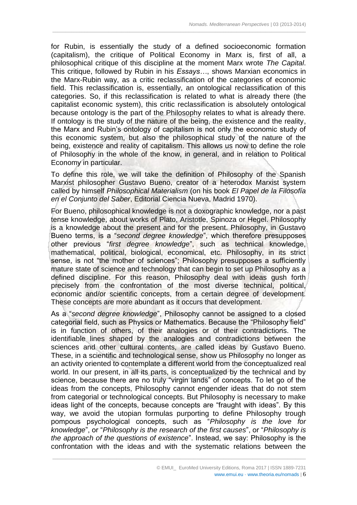for Rubin, is essentially the study of a defined socioeconomic formation (capitalism), the critique of Political Economy in Marx is, first of all, a philosophical critique of this discipline at the moment Marx wrote *The Capital*. This critique, followed by Rubin in his *Essays…*, shows Marxian economics in the Marx-Rubin way, as a critic reclassification of the categories of economic field. This reclassification is, essentially, an ontological reclassification of this categories. So, if this reclassification is related to what is already there (the capitalist economic system), this critic reclassification is absolutely ontological because ontology is the part of the Philosophy relates to what is already there. If ontology is the study of the nature of the being, the existence and the reality, the Marx and Rubin's ontology of capitalism is not only the economic study of this economic system, but also the philosophical study of the nature of the being, existence and reality of capitalism. This allows us now to define the role of Philosophy in the whole of the know, in general, and in relation to Political Economy in particular.

 $\_$  ,  $\_$  ,  $\_$  ,  $\_$  ,  $\_$  ,  $\_$  ,  $\_$  ,  $\_$  ,  $\_$  ,  $\_$  ,  $\_$  ,  $\_$  ,  $\_$  ,  $\_$  ,  $\_$  ,  $\_$  ,  $\_$  ,  $\_$  ,  $\_$  ,  $\_$  ,  $\_$  ,  $\_$  ,  $\_$  ,  $\_$  ,  $\_$  ,  $\_$  ,  $\_$  ,  $\_$  ,  $\_$  ,  $\_$  ,  $\_$  ,  $\_$  ,  $\_$  ,  $\_$  ,  $\_$  ,  $\_$  ,  $\_$  ,

To define this role, we will take the definition of Philosophy of the Spanish Marxist philosopher Gustavo Bueno, creator of a heterodox Marxist system called by himself *Philosophical Materialism* (on his book *El Papel de la Filosofía en el Conjunto del Saber*, Editorial Ciencia Nueva, Madrid 1970).

For Bueno, philosophical knowledge is not a doxographic knowledge, nor a past tense knowledge, about works of Plato, Aristotle, Spinoza or Hegel. Philosophy is a knowledge about the present and for the present. Philosophy, in Gustavo Bueno terms, is a "*second degree knowledge*", which therefore presupposes other previous "*first degree knowledge*", such as technical knowledge, mathematical, political, biological, economical, etc. Philosophy, in its strict sense, is not "the mother of sciences"; Philosophy presupposes a sufficiently mature state of science and technology that can begin to set up Philosophy as a defined discipline. For this reason, Philosophy deal with ideas gush forth precisely from the confrontation of the most diverse technical, political, economic and/or scientific concepts, from a certain degree of development. These concepts are more abundant as it occurs that development.

As a "*second degree knowledge*", Philosophy cannot be assigned to a closed categorial field, such as Physics or Mathematics. Because the "Philosophy field" is in function of others, of their analogies or of their contradictions. The identifiable lines shaped by the analogies and contradictions between the sciences and other cultural contents, are called ideas by Gustavo Bueno. These, in a scientific and technological sense, show us Philosophy no longer as an activity oriented to contemplate a different world from the conceptualized real world. In our present, in all its parts, is conceptualized by the technical and by science, because there are no truly "virgin lands" of concepts. To let go of the ideas from the concepts, Philosophy cannot engender ideas that do not stem from categorial or technological concepts. But Philosophy is necessary to make ideas light of the concepts, because concepts are "fraught with ideas". By this way, we avoid the utopian formulas purporting to define Philosophy trough pompous psychological concepts, such as "*Philosophy is the love for knowledge*", or "*Philosophy is the research of the first causes*", or "*Philosophy is the approach of the questions of existence*". Instead, we say: Philosophy is the confrontation with the ideas and with the systematic relations between the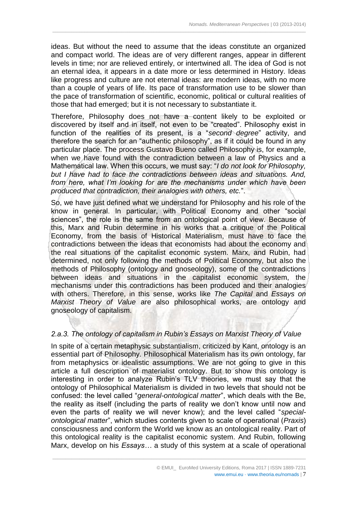ideas. But without the need to assume that the ideas constitute an organized and compact world. The ideas are of very different ranges, appear in different levels in time; nor are relieved entirely, or intertwined all. The idea of God is not an eternal idea, it appears in a date more or less determined in History. Ideas like progress and culture are not eternal ideas: are modern ideas, with no more than a couple of years of life. Its pace of transformation use to be slower than the pace of transformation of scientific, economic, political or cultural realities of those that had emerged; but it is not necessary to substantiate it.

 $\_$  ,  $\_$  ,  $\_$  ,  $\_$  ,  $\_$  ,  $\_$  ,  $\_$  ,  $\_$  ,  $\_$  ,  $\_$  ,  $\_$  ,  $\_$  ,  $\_$  ,  $\_$  ,  $\_$  ,  $\_$  ,  $\_$  ,  $\_$  ,  $\_$  ,  $\_$  ,  $\_$  ,  $\_$  ,  $\_$  ,  $\_$  ,  $\_$  ,  $\_$  ,  $\_$  ,  $\_$  ,  $\_$  ,  $\_$  ,  $\_$  ,  $\_$  ,  $\_$  ,  $\_$  ,  $\_$  ,  $\_$  ,  $\_$  ,

Therefore, Philosophy does not have a content likely to be exploited or discovered by itself and in itself, not even to be "created". Philosophy exist in function of the realities of its present, is a "*second degree*" activity, and therefore the search for an "authentic philosophy", as if it could be found in any particular place. The process Gustavo Bueno called Philosophy is, for example, when we have found with the contradiction between a law of Physics and a Mathematical law. When this occurs, we must say: "*I do not look for Philosophy,*  but I have had to face the contradictions between ideas and situations. And, from here, what I'm looking for are the mechanisms under which have been *produced that contradiction, their analogies with others, etc.*".

So, we have just defined what we understand for Philosophy and his role of the know in general. In particular, with Political Economy and other "social sciences", the role is the same from an ontological point of view. Because of this, Marx and Rubin determine in his works that a critique of the Political Economy, from the basis of Historical Materialism, must have to face the contradictions between the ideas that economists had about the economy and the real situations of the capitalist economic system. Marx, and Rubin, had determined, not only following the methods of Political Economy, but also the methods of Philosophy (ontology and gnoseology), some of the contradictions between ideas and situations in the capitalist economic system, the mechanisms under this contradictions has been produced and their analogies with others. Therefore, in this sense, works like *The Capital* and *Essays on Marxist Theory of Value* are also philosophical works, are ontology and gnoseology of capitalism.

### *2.a.3. The ontology of capitalism in Rubin's Essays on Marxist Theory of Value*

In spite of a certain metaphysic substantialism, criticized by Kant, ontology is an essential part of Philosophy. Philosophical Materialism has its own ontology, far from metaphysics or idealistic assumptions. We are not going to give in this article a full description of materialist ontology. But to show this ontology is interesting in order to analyze Rubin's TLV theories, we must say that the ontology of Philosophical Materialism is divided in two levels that should not be confused: the level called "*general-ontological matter*", which deals with the Be, the reality as itself (including the parts of reality we don't know until now and even the parts of reality we will never know); and the level called "*specialontological matter*", which studies contents given to scale of operational (*Praxis*) consciousness and conform the World we know as an ontological reality. Part of this ontological reality is the capitalist economic system. And Rubin, following Marx, develop on his *Essays…* a study of this system at a scale of operational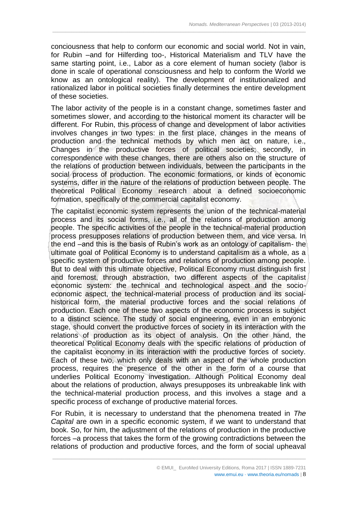conciousness that help to conform our economic and social world. Not in vain, for Rubin –and for Hilferding too-, Historical Materialism and TLV have the same starting point, i.e., Labor as a core element of human society (labor is done in scale of operational consciousness and help to conform the World we know as an ontological reality). The development of institutionalized and rationalized labor in political societies finally determines the entire development of these societies.

 $\_$  ,  $\_$  ,  $\_$  ,  $\_$  ,  $\_$  ,  $\_$  ,  $\_$  ,  $\_$  ,  $\_$  ,  $\_$  ,  $\_$  ,  $\_$  ,  $\_$  ,  $\_$  ,  $\_$  ,  $\_$  ,  $\_$  ,  $\_$  ,  $\_$  ,  $\_$  ,  $\_$  ,  $\_$  ,  $\_$  ,  $\_$  ,  $\_$  ,  $\_$  ,  $\_$  ,  $\_$  ,  $\_$  ,  $\_$  ,  $\_$  ,  $\_$  ,  $\_$  ,  $\_$  ,  $\_$  ,  $\_$  ,  $\_$  ,

The labor activity of the people is in a constant change, sometimes faster and sometimes slower, and according to the historical moment its character will be different. For Rubin, this process of change and development of labor activities involves changes in two types: in the first place, changes in the means of production and the technical methods by which men act on nature, i.e., Changes in the productive forces of political societies; secondly, in correspondence with these changes, there are others also on the structure of the relations of production between individuals, between the participants in the social process of production. The economic formations, or kinds of economic systems, differ in the nature of the relations of production between people. The theoretical Political Economy research about a defined socioeconomic formation, specifically of the commercial capitalist economy.

The capitalist economic system represents the union of the technical-material process and its social forms, i.e., all of the relations of production among people. The specific activities of the people in the technical-material production process presupposes relations of production between them, and vice versa. In the end –and this is the basis of Rubin's work as an ontology of capitalism- the ultimate goal of Political Economy is to understand capitalism as a whole, as a specific system of productive forces and relations of production among people. But to deal with this ultimate objective, Political Economy must distinguish first and foremost, through abstraction, two different aspects of the capitalist economic system: the technical and technological aspect and the socioeconomic aspect, the technical-material process of production and its socialhistorical form, the material productive forces and the social relations of production. Each one of these two aspects of the economic process is subject to a distinct science. The study of social engineering, even in an embryonic stage, should convert the productive forces of society in its interaction with the relations of production as its object of analysis. On the other hand, the theoretical Political Economy deals with the specific relations of production of the capitalist economy in its interaction with the productive forces of society. Each of these two, which only deals with an aspect of the whole production process, requires the presence of the other in the form of a course that underlies Political Economy investigation. Although Political Economy deal about the relations of production, always presupposes its unbreakable link with the technical-material production process, and this involves a stage and a specific process of exchange of productive material forces.

For Rubin, it is necessary to understand that the phenomena treated in *The Capital* are own in a specific economic system, if we want to understand that book. So, for him, the adjustment of the relations of production in the productive forces –a process that takes the form of the growing contradictions between the relations of production and productive forces, and the form of social upheaval

<sup>©</sup> EMUI\_ EuroMed University Editions, Roma 2017 | ISSN 1889-7231 www.emui.eu · www.theoria.eu/nomads | 8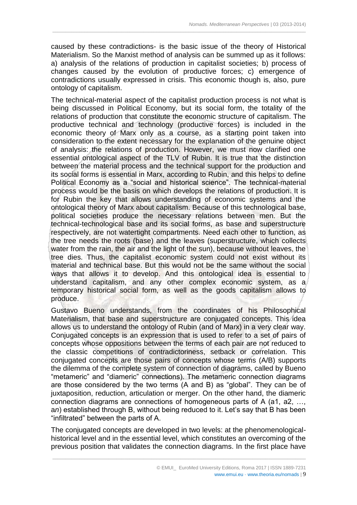caused by these contradictions- is the basic issue of the theory of Historical Materialism. So the Marxist method of analysis can be summed up as it follows: a) analysis of the relations of production in capitalist societies; b) process of changes caused by the evolution of productive forces; c) emergence of contradictions usually expressed in crisis. This economic though is, also, pure ontology of capitalism.

 $\_$  ,  $\_$  ,  $\_$  ,  $\_$  ,  $\_$  ,  $\_$  ,  $\_$  ,  $\_$  ,  $\_$  ,  $\_$  ,  $\_$  ,  $\_$  ,  $\_$  ,  $\_$  ,  $\_$  ,  $\_$  ,  $\_$  ,  $\_$  ,  $\_$  ,  $\_$  ,  $\_$  ,  $\_$  ,  $\_$  ,  $\_$  ,  $\_$  ,  $\_$  ,  $\_$  ,  $\_$  ,  $\_$  ,  $\_$  ,  $\_$  ,  $\_$  ,  $\_$  ,  $\_$  ,  $\_$  ,  $\_$  ,  $\_$  ,

The technical-material aspect of the capitalist production process is not what is being discussed in Political Economy, but its social form, the totality of the relations of production that constitute the economic structure of capitalism. The productive technical and technology (productive forces) is included in the economic theory of Marx only as a course, as a starting point taken into consideration to the extent necessary for the explanation of the genuine object of analysis: the relations of production. However, we must now clarified one essential ontological aspect of the TLV of Rubin. It is true that the distinction between the material process and the technical support for the production and its social forms is essential in Marx, according to Rubin, and this helps to define Political Economy as a "social and historical science". The technical-material process would be the basis on which develops the relations of production. It is for Rubin the key that allows understanding of economic systems and the ontological theory of Marx about capitalism. Because of this technological base, political societies produce the necessary relations between men. But the technical-technological base and its social forms, as base and superstructure respectively, are not watertight compartments. Need each other to function, as the tree needs the roots (base) and the leaves (superstructure, which collects water from the rain, the air and the light of the sun), because without leaves, the tree dies. Thus, the capitalist economic system could not exist without its material and technical base. But this would not be the same without the social ways that allows it to develop. And this ontological idea is essential to understand capitalism, and any other complex economic system, as a temporary historical social form, as well as the goods capitalism allows to produce.

Gustavo Bueno understands, from the coordinates of his Philosophical Materialism, that base and superstructure are conjugated concepts. This idea allows us to understand the ontology of Rubin (and of Marx) in a very clear way. Conjugated concepts is an expression that is used to refer to a set of pairs of concepts whose oppositions between the terms of each pair are not reduced to the classic competitions of contradictoriness, setback or correlation. This conjugated concepts are those pairs of concepts whose terms (A/B) supports the dilemma of the complete system of connection of diagrams, called by Bueno "metameric" and "diameric" connections). The metameric connection diagrams are those considered by the two terms (A and B) as "global". They can be of juxtaposition, reduction, articulation or merger. On the other hand, the diameric connection diagrams are connections of homogeneous parts of A (a1, a2, …, a*n*) established through B, without being reduced to it. Let's say that B has been "infiltrated" between the parts of A.

The conjugated concepts are developed in two levels: at the phenomenologicalhistorical level and in the essential level, which constitutes an overcoming of the previous position that validates the connection diagrams. In the first place have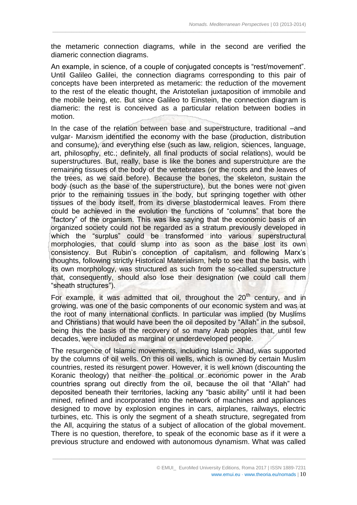the metameric connection diagrams, while in the second are verified the diameric connection diagrams.

 $\_$  ,  $\_$  ,  $\_$  ,  $\_$  ,  $\_$  ,  $\_$  ,  $\_$  ,  $\_$  ,  $\_$  ,  $\_$  ,  $\_$  ,  $\_$  ,  $\_$  ,  $\_$  ,  $\_$  ,  $\_$  ,  $\_$  ,  $\_$  ,  $\_$  ,  $\_$  ,  $\_$  ,  $\_$  ,  $\_$  ,  $\_$  ,  $\_$  ,  $\_$  ,  $\_$  ,  $\_$  ,  $\_$  ,  $\_$  ,  $\_$  ,  $\_$  ,  $\_$  ,  $\_$  ,  $\_$  ,  $\_$  ,  $\_$  ,

An example, in science, of a couple of conjugated concepts is "rest/movement". Until Galileo Galilei, the connection diagrams corresponding to this pair of concepts have been interpreted as metameric: the reduction of the movement to the rest of the eleatic thought, the Aristotelian juxtaposition of immobile and the mobile being, etc. But since Galileo to Einstein, the connection diagram is diameric: the rest is conceived as a particular relation between bodies in motion.

In the case of the relation between base and superstructure, traditional –and vulgar- Marxism identified the economy with the base (production, distribution and consume), and everything else (such as law, religion, sciences, language, art, philosophy, etc.; definitely, all final products of social relations), would be superstructures. But, really, base is like the bones and superstructure are the remaining tissues of the body of the vertebrates (or the roots and the leaves of the trees, as we said before). Because the bones, the skeleton, sustain the body (such as the base of the superstructure), but the bones were not given prior to the remaining tissues in the body, but springing together with other tissues of the body itself, from its diverse blastodermical leaves. From there could be achieved in the evolution the functions of "columns" that bore the "factory" of the organism. This was like saying that the economic basis of an organized society could not be regarded as a stratum previously developed in which the "surplus" could be transformed into various superstructural morphologies, that could slump into as soon as the base lost its own consistency. But Rubin's conception of capitalism, and following Marx's thoughts, following strictly Historical Materialism, help to see that the basis, with its own morphology, was structured as such from the so-called superstructure that, consequently, should also lose their designation (we could call them "sheath structures").

For example, it was admitted that oil, throughout the  $20<sup>th</sup>$  century, and in growing, was one of the basic components of our economic system and was at the root of many international conflicts. In particular was implied (by Muslims and Christians) that would have been the oil deposited by "Allah" in the subsoil, being this the basis of the recovery of so many Arab peoples that, until few decades, were included as marginal or underdeveloped people.

The resurgence of Islamic movements, including Islamic Jihad, was supported by the columns of oil wells. On this oil wells, which is owned by certain Muslim countries, rested its resurgent power. However, it is well known (discounting the Koranic theology) that neither the political or economic power in the Arab countries sprang out directly from the oil, because the oil that "Allah" had deposited beneath their territories, lacking any "basic ability" until it had been mined, refined and incorporated into the network of machines and appliances designed to move by explosion engines in cars, airplanes, railways, electric turbines, etc. This is only the segment of a sheath structure, segregated from the All, acquiring the status of a subject of allocation of the global movement. There is no question, therefore, to speak of the economic base as if it were a previous structure and endowed with autonomous dynamism. What was called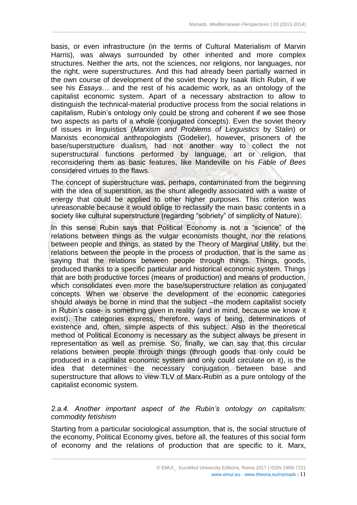basis, or even infrastructure (in the terms of Cultural Materialism of Marvin Harris), was always surrounded by other inherited and more complex structures. Neither the arts, not the sciences, nor religions, nor languages, nor the right, were superstructures. And this had already been partially warned in the own course of development of the soviet theory by Isaak Illich Rubin, if we see his *Essays…* and the rest of his academic work, as an ontology of the capitalist economic system. Apart of a necessary abstraction to allow to distinguish the technical-material productive process from the social relations in capitalism, Rubin's ontology only could be strong and coherent if we see those two aspects as parts of a whole (conjugated concepts). Even the soviet theory of issues in linguistics (*Marxism and Problems of Linguistics* by Stalin) or Marxists economical anthropologists (Godelier), however, prisoners of the base/superstructure dualism, had not another way to collect the not superstructural functions performed by language, art or religion, that reconsidering them as basic features, like Mandeville on his *Fable of Bees* considered virtues to the flaws.

 $\_$  ,  $\_$  ,  $\_$  ,  $\_$  ,  $\_$  ,  $\_$  ,  $\_$  ,  $\_$  ,  $\_$  ,  $\_$  ,  $\_$  ,  $\_$  ,  $\_$  ,  $\_$  ,  $\_$  ,  $\_$  ,  $\_$  ,  $\_$  ,  $\_$  ,  $\_$  ,  $\_$  ,  $\_$  ,  $\_$  ,  $\_$  ,  $\_$  ,  $\_$  ,  $\_$  ,  $\_$  ,  $\_$  ,  $\_$  ,  $\_$  ,  $\_$  ,  $\_$  ,  $\_$  ,  $\_$  ,  $\_$  ,  $\_$  ,

The concept of superstructure was, perhaps, contaminated from the beginning with the idea of superstition, as the shunt allegedly associated with a waste of energy that could be applied to other higher purposes. This criterion was unreasonable because it would oblige to reclassify the main basic contents in a society like cultural superstructure (regarding "sobriety" of simplicity of Nature).

In this sense Rubin says that Political Economy is not a "science" of the relations between things as the vulgar economists thought, nor the relations between people and things, as stated by the Theory of Marginal Utility, but the relations between the people in the process of production, that is the same as saying that the relations between people through things. Things, goods, produced thanks to a specific particular and historical economic system. Things that are both productive forces (means of production) and means of production, which consolidates even more the base/superstructure relation as conjugated concepts. When we observe the development of the economic categories should always be borne in mind that the subject –the modern capitalist society in Rubin's case- is something given in reality (and in mind, because we know it exist). The categories express, therefore, ways of being, determinations of existence and, often, simple aspects of this subject. Also in the theoretical method of Political Economy is necessary as the subject always be present in representation as well as premise. So, finally, we can say that this circular relations between people through things (through goods that only could be produced in a capitalist economic system and only could circulate on it), is the idea that determines the necessary conjugation between base and superstructure that allows to view TLV of Marx-Rubin as a pure ontology of the capitalist economic system.

#### *2.a.4. Another important aspect of the Rubin's ontology on capitalism: commodity fetishism*

Starting from a particular sociological assumption, that is, the social structure of the economy, Political Economy gives, before all, the features of this social form of economy and the relations of production that are specific to it. Marx,

www.emui.eu · www.theoria.eu/nomads | 11

<sup>©</sup> EMUI\_ EuroMed University Editions, Roma 2017 | ISSN 1889-7231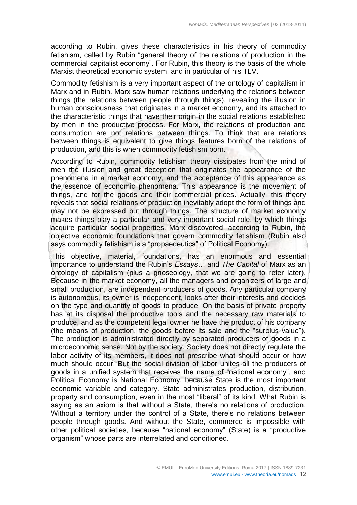according to Rubin, gives these characteristics in his theory of commodity fetishism, called by Rubin "general theory of the relations of production in the commercial capitalist economy". For Rubin, this theory is the basis of the whole Marxist theoretical economic system, and in particular of his TLV.

 $\_$  ,  $\_$  ,  $\_$  ,  $\_$  ,  $\_$  ,  $\_$  ,  $\_$  ,  $\_$  ,  $\_$  ,  $\_$  ,  $\_$  ,  $\_$  ,  $\_$  ,  $\_$  ,  $\_$  ,  $\_$  ,  $\_$  ,  $\_$  ,  $\_$  ,  $\_$  ,  $\_$  ,  $\_$  ,  $\_$  ,  $\_$  ,  $\_$  ,  $\_$  ,  $\_$  ,  $\_$  ,  $\_$  ,  $\_$  ,  $\_$  ,  $\_$  ,  $\_$  ,  $\_$  ,  $\_$  ,  $\_$  ,  $\_$  ,

Commodity fetishism is a very important aspect of the ontology of capitalism in Marx and in Rubin. Marx saw human relations underlying the relations between things (the relations between people through things), revealing the illusion in human consciousness that originates in a market economy, and its attached to the characteristic things that have their origin in the social relations established by men in the productive process. For Marx, the relations of production and consumption are not relations between things. To think that are relations between things is equivalent to give things features born of the relations of production, and this is when commodity fetishism born.

According to Rubin, commodity fetishism theory dissipates from the mind of men the illusion and great deception that originates the appearance of the phenomena in a market economy, and the acceptance of this appearance as the essence of economic phenomena. This appearance is the movement of things, and for the goods and their commercial prices. Actually, this theory reveals that social relations of production inevitably adopt the form of things and may not be expressed but through things. The structure of market economy makes things play a particular and very important social role, by which things acquire particular social properties. Marx discovered, according to Rubin, the objective economic foundations that govern commodity fetishism (Rubin also says commodity fetishism is a "propaedeutics" of Political Economy).

This objective, material, foundations, has an enormous and essential importance to understand the Rubin's *Essays…* and *The Capital* of Marx as an ontology of capitalism (plus a gnoseology, that we are going to refer later). Because in the market economy, all the managers and organizers of large and small production, are independent producers of goods. Any particular company is autonomous, its owner is independent, looks after their interests and decides on the type and quantity of goods to produce. On the basis of private property has at its disposal the productive tools and the necessary raw materials to produce, and as the competent legal owner he have the product of his company (the means of production, the goods before its sale and the "surplus value"). The production is administrated directly by separated producers of goods in a microeconomic sense. Not by the society. Society does not directly regulate the labor activity of its members, it does not prescribe what should occur or how much should occur. But the social division of labor unites all the producers of goods in a unified system that receives the name of "national economy", and Political Economy is National Economy, because State is the most important economic variable and category. State administrates production, distribution, property and consumption, even in the most "liberal" of its kind. What Rubin is saying as an axiom is that without a State, there's no relations of production. Without a territory under the control of a State, there's no relations between people through goods. And without the State, commerce is impossible with other political societies, because "national economy" (State) is a "productive organism" whose parts are interrelated and conditioned.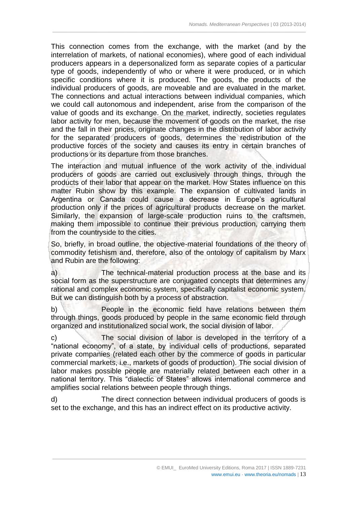This connection comes from the exchange, with the market (and by the interrelation of markets, of national economies), where good of each individual producers appears in a depersonalized form as separate copies of a particular type of goods, independently of who or where it were produced, or in which specific conditions where it is produced. The goods, the products of the individual producers of goods, are moveable and are evaluated in the market. The connections and actual interactions between individual companies, which we could call autonomous and independent, arise from the comparison of the value of goods and its exchange. On the market, indirectly, societies regulates labor activity for men, because the movement of goods on the market, the rise and the fall in their prices, originate changes in the distribution of labor activity for the separated producers of goods, determines the redistribution of the productive forces of the society and causes its entry in certain branches of productions or its departure from those branches.

 $\_$  ,  $\_$  ,  $\_$  ,  $\_$  ,  $\_$  ,  $\_$  ,  $\_$  ,  $\_$  ,  $\_$  ,  $\_$  ,  $\_$  ,  $\_$  ,  $\_$  ,  $\_$  ,  $\_$  ,  $\_$  ,  $\_$  ,  $\_$  ,  $\_$  ,  $\_$  ,  $\_$  ,  $\_$  ,  $\_$  ,  $\_$  ,  $\_$  ,  $\_$  ,  $\_$  ,  $\_$  ,  $\_$  ,  $\_$  ,  $\_$  ,  $\_$  ,  $\_$  ,  $\_$  ,  $\_$  ,  $\_$  ,  $\_$  ,

The interaction and mutual influence of the work activity of the individual producers of goods are carried out exclusively through things, through the products of their labor that appear on the market. How States influence on this matter Rubin show by this example. The expansion of cultivated lands in Argentina or Canada could cause a decrease in Europe's agricultural production only if the prices of agricultural products decrease on the market. Similarly, the expansion of large-scale production ruins to the craftsmen, making them impossible to continue their previous production, carrying them from the countryside to the cities.

So, briefly, in broad outline, the objective-material foundations of the theory of commodity fetishism and, therefore, also of the ontology of capitalism by Marx and Rubin are the following:

a) The technical-material production process at the base and its social form as the superstructure are conjugated concepts that determines any rational and complex economic system, specifically capitalist economic system. But we can distinguish both by a process of abstraction.

b) People in the economic field have relations between them through things, goods produced by people in the same economic field through organized and institutionalized social work, the social division of labor.

c) The social division of labor is developed in the territory of a "national economy", of a state, by individual cells of productions, separated private companies (related each other by the commerce of goods in particular commercial markets, i.e., markets of goods of production). The social division of labor makes possible people are materially related between each other in a national territory. This "dialectic of States" allows international commerce and amplifies social relations between people through things.

d) The direct connection between individual producers of goods is set to the exchange, and this has an indirect effect on its productive activity.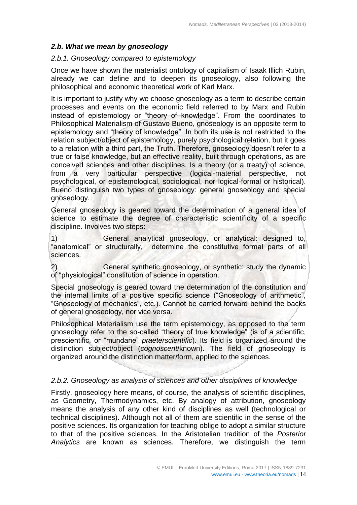## *2.b. What we mean by gnoseology*

#### *2.b.1. Gnoseology compared to epistemology*

Once we have shown the materialist ontology of capitalism of Isaak Illich Rubin, already we can define and to deepen its gnoseology, also following the philosophical and economic theoretical work of Karl Marx.

 $\_$  ,  $\_$  ,  $\_$  ,  $\_$  ,  $\_$  ,  $\_$  ,  $\_$  ,  $\_$  ,  $\_$  ,  $\_$  ,  $\_$  ,  $\_$  ,  $\_$  ,  $\_$  ,  $\_$  ,  $\_$  ,  $\_$  ,  $\_$  ,  $\_$  ,  $\_$  ,  $\_$  ,  $\_$  ,  $\_$  ,  $\_$  ,  $\_$  ,  $\_$  ,  $\_$  ,  $\_$  ,  $\_$  ,  $\_$  ,  $\_$  ,  $\_$  ,  $\_$  ,  $\_$  ,  $\_$  ,  $\_$  ,  $\_$  ,

It is important to justify why we choose gnoseology as a term to describe certain processes and events on the economic field referred to by Marx and Rubin instead of epistemology or "theory of knowledge". From the coordinates to Philosophical Materialism of Gustavo Bueno, gnoseology is an opposite term to epistemology and "theory of knowledge". In both its use is not restricted to the relation subject/object of epistemology, purely psychological relation, but it goes to a relation with a third part, the Truth. Therefore, gnoseology doesn't refer to a true or false knowledge, but an effective reality, built through operations, as are conceived sciences and other disciplines. Is a theory (or a treaty) of science, from a very particular perspective (logical-material perspective, not psychological, or epistemological, sociological, nor logical-formal or historical). Bueno distinguish two types of gnoseology: general gnoseology and special gnoseology.

General gnoseology is geared toward the determination of a general idea of science to estimate the degree of characteristic scientificity of a specific discipline. Involves two steps:

1) General analytical gnoseology, or analytical: designed to, "anatomical" or structurally, determine the constitutive formal parts of all sciences.

2) General synthetic gnoseology, or synthetic: study the dynamic of "physiological" constitution of science in operation.

Special gnoseology is geared toward the determination of the constitution and the internal limits of a positive specific science ("Gnoseology of arithmetic", "Gnoseology of mechanics", etc.). Cannot be carried forward behind the backs of general gnoseology, nor vice versa.

Philosophical Materialism use the term epistemology, as opposed to the term gnoseology refer to the so-called "theory of true knowledge" (is of a scientific, prescientific, or "mundane" *praeterscientific*). Its field is organized around the distinction subject/object (*cognoscent*/known). The field of gnoseology is organized around the distinction matter/form, applied to the sciences.

### *2.b.2. Gnoseology as analysis of sciences and other disciplines of knowledge*

Firstly, gnoseology here means, of course, the analysis of scientific disciplines, as Geometry, Thermodynamics, etc. By analogy of attribution, gnoseology means the analysis of any other kind of disciplines as well (technological or technical disciplines). Although not all of them are scientific in the sense of the positive sciences. Its organization for teaching oblige to adopt a similar structure to that of the positive sciences. In the Aristotelian tradition of the *Posterior Analytics* are known as sciences. Therefore, we distinguish the term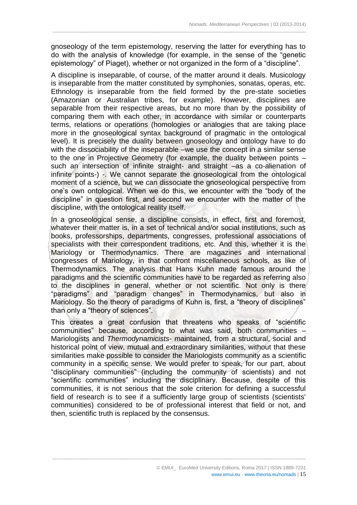gnoseology of the term epistemology, reserving the latter for everything has to do with the analysis of knowledge (for example, in the sense of the "genetic epistemology" of Piaget), whether or not organized in the form of a "discipline".

 $\_$  ,  $\_$  ,  $\_$  ,  $\_$  ,  $\_$  ,  $\_$  ,  $\_$  ,  $\_$  ,  $\_$  ,  $\_$  ,  $\_$  ,  $\_$  ,  $\_$  ,  $\_$  ,  $\_$  ,  $\_$  ,  $\_$  ,  $\_$  ,  $\_$  ,  $\_$  ,  $\_$  ,  $\_$  ,  $\_$  ,  $\_$  ,  $\_$  ,  $\_$  ,  $\_$  ,  $\_$  ,  $\_$  ,  $\_$  ,  $\_$  ,  $\_$  ,  $\_$  ,  $\_$  ,  $\_$  ,  $\_$  ,  $\_$  ,

A discipline is inseparable, of course, of the matter around it deals. Musicology is inseparable from the matter constituted by symphonies, sonatas, operas, etc. Ethnology is inseparable from the field formed by the pre-state societies (Amazonian or Australian tribes, for example). However, disciplines are separable from their respective areas, but no more than by the possibility of comparing them with each other, in accordance with similar or counterparts terms, relations or operations (homologies or analogies that are taking place more in the gnoseological syntax background of pragmatic in the ontological level). It is precisely the duality between gnoseology and ontology have to do with the dissociability of the inseparable –we use the concept in a similar sense to the one in Projective Geometry (for example, the duality between points – such an intersection of infinite straight- and straight –as a co-alienation of infinite points-) -. We cannot separate the gnoseological from the ontological moment of a science, but we can dissociate the gnoseological perspective from one's own ontological. When we do this, we encounter with the "body of the discipline" in question first, and second we encounter with the matter of the discipline, with the ontological reality itself.

In a gnoseological sense, a discipline consists, in effect, first and foremost, whatever their matter is, in a set of technical and/or social institutions, such as books, professorships, departments, congresses, professional associations of specialists with their correspondent traditions, etc. And this, whether it is the Mariology or Thermodynamics. There are magazines and international congresses of Mariology, in that confront miscellaneous schools, as like of Thermodynamics. The analysis that Hans Kuhn made famous around the paradigms and the scientific communities have to be regarded as referring also to the disciplines in general, whether or not scientific. Not only is there "paradigms" and "paradigm changes" in Thermodynamics, but also in Mariology. So the theory of paradigms of Kuhn is, first, a "theory of disciplines" than only a "theory of sciences".

This creates a great confusion that threatens who speaks of "scientific communities" because, according to what was said, both communities – Mariologists and *Thermodynamicists*- maintained, from a structural, social and historical point of view, mutual and extraordinary similarities, without that these similarities make possible to consider the Mariologists community as a scientific community in a specific sense. We would prefer to speak, for our part, about "disciplinary communities" (including the community of scientists) and not "scientific communities" including the disciplinary. Because, despite of this communities, it is not serious that the sole criterion for defining a successful field of research is to see if a sufficiently large group of scientists (scientists' communities) considered to be of professional interest that field or not, and then, scientific truth is replaced by the consensus.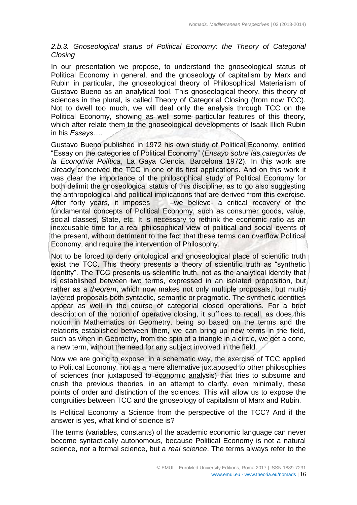## *2.b.3. Gnoseological status of Political Economy: the Theory of Categorial Closing*

 $\_$  ,  $\_$  ,  $\_$  ,  $\_$  ,  $\_$  ,  $\_$  ,  $\_$  ,  $\_$  ,  $\_$  ,  $\_$  ,  $\_$  ,  $\_$  ,  $\_$  ,  $\_$  ,  $\_$  ,  $\_$  ,  $\_$  ,  $\_$  ,  $\_$  ,  $\_$  ,  $\_$  ,  $\_$  ,  $\_$  ,  $\_$  ,  $\_$  ,  $\_$  ,  $\_$  ,  $\_$  ,  $\_$  ,  $\_$  ,  $\_$  ,  $\_$  ,  $\_$  ,  $\_$  ,  $\_$  ,  $\_$  ,  $\_$  ,

In our presentation we propose, to understand the gnoseological status of Political Economy in general, and the gnoseology of capitalism by Marx and Rubin in particular, the gnoseological theory of Philosophical Materialism of Gustavo Bueno as an analytical tool. This gnoseological theory, this theory of sciences in the plural, is called Theory of Categorial Closing (from now TCC). Not to dwell too much, we will deal only the analysis through TCC on the Political Economy, showing as well some particular features of this theory, which after relate them to the gnoseological developments of Isaak Illich Rubin in his *Essays…*.

Gustavo Bueno published in 1972 his own study of Political Economy, entitled "Essay on the categories of Political Economy" (*Ensayo sobre las categorías de la Economía Política*, La Gaya Ciencia, Barcelona 1972). In this work are already conceived the TCC in one of its first applications. And on this work it was clear the importance of the philosophical study of Political Economy for both delimit the gnoseological status of this discipline, as to go also suggesting the anthropological and political implications that are derived from this exercise. After forty years, it imposes –we believe- a critical recovery of the fundamental concepts of Political Economy, such as consumer goods, value, social classes, State, etc. It is necessary to rethink the economic ratio as an inexcusable time for a real philosophical view of political and social events of the present, without detriment to the fact that these terms can overflow Political Economy, and require the intervention of Philosophy.

Not to be forced to deny ontological and gnoseological place of scientific truth exist the TCC. This theory presents a theory of scientific truth as "synthetic identity". The TCC presents us scientific truth, not as the analytical identity that is established between two terms, expressed in an isolated proposition, but rather as a *theorem*, which now makes not only multiple proposals, but multilayered proposals both syntactic, semantic or pragmatic. The synthetic identities appear as well in the course of categorial closed operations. For a brief description of the notion of operative closing, it suffices to recall, as does this notion in Mathematics or Geometry, being so based on the terms and the relations established between them, we can bring up new terms in the field, such as when in Geometry, from the spin of a triangle in a circle, we get a cone, a new term, without the need for any subject involved in the field.

Now we are going to expose, in a schematic way, the exercise of TCC applied to Political Economy, not as a mere alternative juxtaposed to other philosophies of sciences (nor juxtaposed to economic analysis) that tries to subsume and crush the previous theories, in an attempt to clarify, even minimally, these points of order and distinction of the sciences. This will allow us to expose the congruities between TCC and the gnoseology of capitalism of Marx and Rubin.

Is Political Economy a Science from the perspective of the TCC? And if the answer is yes, what kind of science is?

The terms (variables, constants) of the academic economic language can never become syntactically autonomous, because Political Economy is not a natural science, nor a formal science, but a *real science*. The terms always refer to the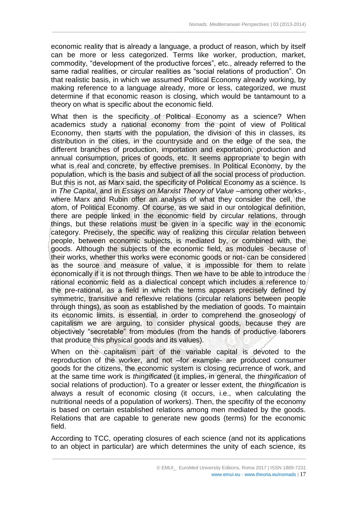economic reality that is already a language, a product of reason, which by itself can be more or less categorized. Terms like worker, production, market, commodity, "development of the productive forces", etc., already referred to the same radial realities, or circular realities as "social relations of production". On that realistic basis, in which we assumed Political Economy already working, by making reference to a language already, more or less, categorized, we must determine if that economic reason is closing, which would be tantamount to a theory on what is specific about the economic field.

 $\_$  ,  $\_$  ,  $\_$  ,  $\_$  ,  $\_$  ,  $\_$  ,  $\_$  ,  $\_$  ,  $\_$  ,  $\_$  ,  $\_$  ,  $\_$  ,  $\_$  ,  $\_$  ,  $\_$  ,  $\_$  ,  $\_$  ,  $\_$  ,  $\_$  ,  $\_$  ,  $\_$  ,  $\_$  ,  $\_$  ,  $\_$  ,  $\_$  ,  $\_$  ,  $\_$  ,  $\_$  ,  $\_$  ,  $\_$  ,  $\_$  ,  $\_$  ,  $\_$  ,  $\_$  ,  $\_$  ,  $\_$  ,  $\_$  ,

What then is the specificity of Political Economy as a science? When academics study a national economy from the point of view of Political Economy, then starts with the population, the division of this in classes, its distribution in the cities, in the countryside and on the edge of the sea, the different branches of production, importation and exportation, production and annual consumption, prices of goods, etc. It seems appropriate to begin with what is real and concrete, by effective premises. In Political Economy, by the population, which is the basis and subject of all the social process of production. But this is not, as Marx said, the specificity of Political Economy as a science. Is in *The Capital*, and in *Essays on Marxist Theory of Value* –among other works-, where Marx and Rubin offer an analysis of what they consider the cell, the atom, of Political Economy. Of course, as we said in our ontological definition, there are people linked in the economic field by circular relations, through things, but these relations must be given in a specific way in the economic category. Precisely, the specific way of realizing this circular relation between people, between economic subjects, is mediated by, or combined with, the goods. Although the subjects of the economic field, as modules -because of their works, whether this works were economic goods or not- can be considered as the source and measure of value, it is impossible for them to relate economically if it is not through things. Then we have to be able to introduce the rational economic field as a dialectical concept which includes a reference to the pre-rational, as a field in which the terms appears precisely defined by symmetric, transitive and reflexive relations (circular relations between people through things), as soon as established by the mediation of goods. To maintain its economic limits, is essential, in order to comprehend the gnoseology of capitalism we are arguing, to consider physical goods, because they are objectively "secretable" from modules (from the hands of productive laborers that produce this physical goods and its values).

When on the capitalism part of the variable capital is devoted to the reproduction of the worker, and not –for example- are produced consumer goods for the citizens, the economic system is closing recurrence of work, and at the same time work is *thingificated* (it implies, in general, the *thingification* of social relations of production). To a greater or lesser extent, the *thingification* is always a result of economic closing (it occurs, i.e., when calculating the nutritional needs of a population of workers). Then, the specifity of the economy is based on certain established relations among men mediated by the goods. Relations that are capable to generate new goods (terms) for the economic field.

According to TCC, operating closures of each science (and not its applications to an object in particular) are which determines the unity of each science, its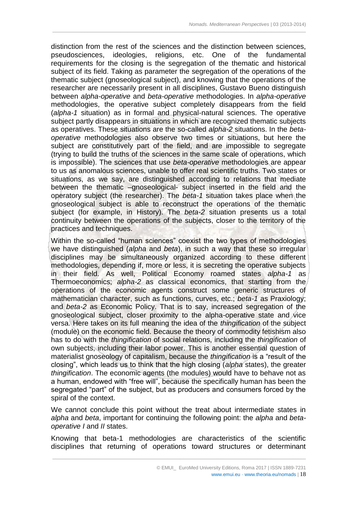distinction from the rest of the sciences and the distinction between sciences, pseudosciences, ideologies, religions, etc. One of the fundamental requirements for the closing is the segregation of the thematic and historical subject of its field. Taking as parameter the segregation of the operations of the thematic subject (gnoseological subject), and knowing that the operations of the researcher are necessarily present in all disciplines, Gustavo Bueno distinguish between *alpha-operative* and *beta-operative* methodologies. In *alpha-operative* methodologies, the operative subject completely disappears from the field (*alpha-1* situation) as in formal and physical-natural sciences. The operative subject partly disappears in situations in which are recognized thematic subjects as operatives. These situations are the so-called *alpha-2* situations. In the *betaoperative* methodologies also observe two times or situations, but here the subject are constitutively part of the field, and are impossible to segregate (trying to build the truths of the sciences in the same scale of operations, which is impossible). The sciences that use *beta-operative* methodologies are appear to us as anomalous sciences, unable to offer real scientific truths. Two states or situations, as we say, are distinguished according to relations that mediate between the thematic –gnoseological- subject inserted in the field and the operatory subject (the researcher). The *beta-1* situation takes place when the gnoseological subject is able to reconstruct the operations of the thematic subject (for example, in History). The *beta-2* situation presents us a total continuity between the operations of the subjects, closer to the territory of the practices and techniques.

 $\_$  ,  $\_$  ,  $\_$  ,  $\_$  ,  $\_$  ,  $\_$  ,  $\_$  ,  $\_$  ,  $\_$  ,  $\_$  ,  $\_$  ,  $\_$  ,  $\_$  ,  $\_$  ,  $\_$  ,  $\_$  ,  $\_$  ,  $\_$  ,  $\_$  ,  $\_$  ,  $\_$  ,  $\_$  ,  $\_$  ,  $\_$  ,  $\_$  ,  $\_$  ,  $\_$  ,  $\_$  ,  $\_$  ,  $\_$  ,  $\_$  ,  $\_$  ,  $\_$  ,  $\_$  ,  $\_$  ,  $\_$  ,  $\_$  ,

Within the so-called "human sciences" coexist the two types of methodologies we have distinguished (*alpha* and *beta*), in such a way that these so irregular disciplines may be simultaneously organized according to these different methodologies, depending if, more or less, it is secreting the operative subjects in their field. As well, Political Economy roamed states *alpha-1* as Thermoeconomics; *alpha-2* as classical economics, that starting from the operations of the economic agents construct some generic structures of mathematician character, such as functions, curves, etc.; *beta-1* as Praxiology; and *beta-2* as Economic Policy. That is to say, increased segregation of the gnoseological subject, closer proximity to the alpha-operative state and vice versa. Here takes on its full meaning the idea of the *thingification* of the subject (module) on the economic field. Because the theory of commodity fetishism also has to do with the *thingification* of social relations, including the *thingification* of own subjects, including their labor power. This is another essential question of materialist gnoseology of capitalism, because the *thingification* is a "result of the closing", which leads us to think that the high closing (*alpha* states), the greater *thingification*. The economic agents (the modules) would have to behave not as a human, endowed with "free will", because the specifically human has been the segregated "part" of the subject, but as producers and consumers forced by the spiral of the context.

We cannot conclude this point without the treat about intermediate states in *alpha* and *beta*, important for continuing the following point: the *alpha* and *betaoperative I* and *II* states.

Knowing that beta-1 methodologies are characteristics of the scientific disciplines that returning of operations toward structures or determinant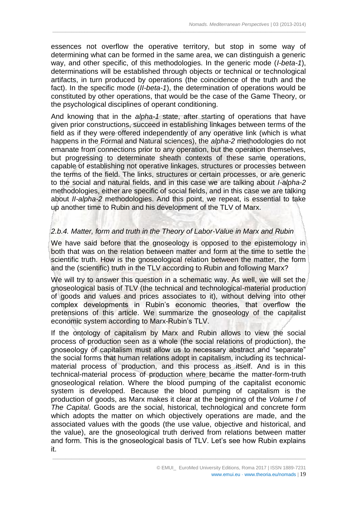essences not overflow the operative territory, but stop in some way of determining what can be formed in the same area, we can distinguish a generic way, and other specific, of this methodologies. In the generic mode (*I-beta-1*), determinations will be established through objects or technical or technological artifacts, in turn produced by operations (the coincidence of the truth and the fact). In the specific mode (*II-beta-1*), the determination of operations would be constituted by other operations, that would be the case of the Game Theory, or the psychological disciplines of operant conditioning.

 $\_$  ,  $\_$  ,  $\_$  ,  $\_$  ,  $\_$  ,  $\_$  ,  $\_$  ,  $\_$  ,  $\_$  ,  $\_$  ,  $\_$  ,  $\_$  ,  $\_$  ,  $\_$  ,  $\_$  ,  $\_$  ,  $\_$  ,  $\_$  ,  $\_$  ,  $\_$  ,  $\_$  ,  $\_$  ,  $\_$  ,  $\_$  ,  $\_$  ,  $\_$  ,  $\_$  ,  $\_$  ,  $\_$  ,  $\_$  ,  $\_$  ,  $\_$  ,  $\_$  ,  $\_$  ,  $\_$  ,  $\_$  ,  $\_$  ,

And knowing that in the *alpha-1* state, after starting of operations that have given prior constructions, succeed in establishing linkages between terms of the field as if they were offered independently of any operative link (which is what happens in the Formal and Natural sciences), the *alpha-2* methodologies do not emanate from connections prior to any operation, but the operation themselves, but progressing to determinate sheath contexts of these same operations, capable of establishing not operative linkages, structures or processes between the terms of the field. The links, structures or certain processes, or are generic to the social and natural fields, and in this case we are talking about *I-alpha-2* methodologies, either are specific of social fields, and in this case we are talking about *II-alpha-2* methodologies. And this point, we repeat, is essential to take up another time to Rubin and his development of the TLV of Marx.

### *2.b.4. Matter, form and truth in the Theory of Labor-Value in Marx and Rubin*

We have said before that the gnoseology is opposed to the epistemology in both that was on the relation between matter and form at the time to settle the scientific truth. How is the gnoseological relation between the matter, the form and the (scientific) truth in the TLV according to Rubin and following Marx?

We will try to answer this question in a schematic way. As well, we will set the gnoseological basis of TLV (the technical and technological-material production of goods and values and prices associates to it), without delving into other complex developments in Rubin's economic theories, that overflow the pretensions of this article. We summarize the gnoseology of the capitalist economic system according to Marx-Rubin's TLV.

If the ontology of capitalism by Marx and Rubin allows to view the social process of production seen as a whole (the social relations of production), the gnoseology of capitalism must allow us to necessary abstract and "separate" the social forms that human relations adopt in capitalism, including its technicalmaterial process of production, and this process as itself. And is in this technical-material process of production where became the matter-form-truth gnoseological relation. Where the blood pumping of the capitalist economic system is developed. Because the blood pumping of capitalism is the production of goods, as Marx makes it clear at the beginning of the *Volume I* of *The Capital*. Goods are the social, historical, technological and concrete form which adopts the matter on which objectively operations are made, and the associated values with the goods (the use value, objective and historical, and the value), are the gnoseological truth derived from relations between matter and form. This is the gnoseological basis of TLV. Let's see how Rubin explains it.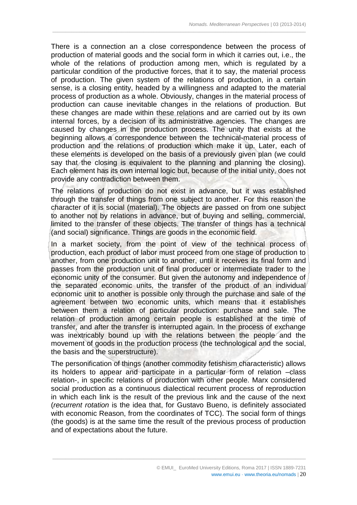There is a connection an a close correspondence between the process of production of material goods and the social form in which it carries out, i.e., the whole of the relations of production among men, which is regulated by a particular condition of the productive forces, that it to say, the material process of production. The given system of the relations of production, in a certain sense, is a closing entity, headed by a willingness and adapted to the material process of production as a whole. Obviously, changes in the material process of production can cause inevitable changes in the relations of production. But these changes are made within these relations and are carried out by its own internal forces, by a decision of its administrative agencies. The changes are caused by changes in the production process. The unity that exists at the beginning allows a correspondence between the technical-material process of production and the relations of production which make it up. Later, each of these elements is developed on the basis of a previously given plan (we could say that the closing is equivalent to the planning and planning the closing). Each element has its own internal logic but, because of the initial unity, does not provide any contradiction between them.

 $\_$  ,  $\_$  ,  $\_$  ,  $\_$  ,  $\_$  ,  $\_$  ,  $\_$  ,  $\_$  ,  $\_$  ,  $\_$  ,  $\_$  ,  $\_$  ,  $\_$  ,  $\_$  ,  $\_$  ,  $\_$  ,  $\_$  ,  $\_$  ,  $\_$  ,  $\_$  ,  $\_$  ,  $\_$  ,  $\_$  ,  $\_$  ,  $\_$  ,  $\_$  ,  $\_$  ,  $\_$  ,  $\_$  ,  $\_$  ,  $\_$  ,  $\_$  ,  $\_$  ,  $\_$  ,  $\_$  ,  $\_$  ,  $\_$  ,

The relations of production do not exist in advance, but it was established through the transfer of things from one subject to another. For this reason the character of it is social (material). The objects are passed on from one subject to another not by relations in advance, but of buying and selling, commercial, limited to the transfer of these objects. The transfer of things has a technical (and social) significance. Things are goods in the economic field.

In a market society, from the point of view of the technical process of production, each product of labor must proceed from one stage of production to another, from one production unit to another, until it receives its final form and passes from the production unit of final producer or intermediate trader to the economic unity of the consumer. But given the autonomy and independence of the separated economic units, the transfer of the product of an individual economic unit to another is possible only through the purchase and sale of the agreement between two economic units, which means that it establishes between them a relation of particular production: purchase and sale. The relation of production among certain people is established at the time of transfer, and after the transfer is interrupted again. In the process of exchange was inextricably bound up with the relations between the people and the movement of goods in the production process (the technological and the social, the basis and the superstructure).

The personification of things (another commodity fetishism characteristic) allows its holders to appear and participate in a particular form of relation –class relation-, in specific relations of production with other people. Marx considered social production as a continuous dialectical recurrent process of reproduction in which each link is the result of the previous link and the cause of the next (*recurrent rotation* is the idea that, for Gustavo Bueno, is definitely associated with economic Reason, from the coordinates of TCC). The social form of things (the goods) is at the same time the result of the previous process of production and of expectations about the future.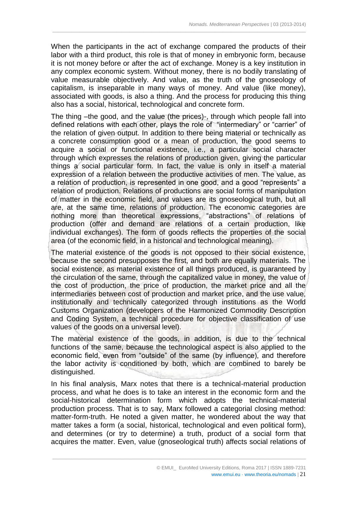When the participants in the act of exchange compared the products of their labor with a third product, this role is that of money in embryonic form, because it is not money before or after the act of exchange. Money is a key institution in any complex economic system. Without money, there is no bodily translating of value measurable objectively. And value, as the truth of the gnoseology of capitalism, is inseparable in many ways of money. And value (like money), associated with goods, is also a thing. And the process for producing this thing also has a social, historical, technological and concrete form.

 $\_$  ,  $\_$  ,  $\_$  ,  $\_$  ,  $\_$  ,  $\_$  ,  $\_$  ,  $\_$  ,  $\_$  ,  $\_$  ,  $\_$  ,  $\_$  ,  $\_$  ,  $\_$  ,  $\_$  ,  $\_$  ,  $\_$  ,  $\_$  ,  $\_$  ,  $\_$  ,  $\_$  ,  $\_$  ,  $\_$  ,  $\_$  ,  $\_$  ,  $\_$  ,  $\_$  ,  $\_$  ,  $\_$  ,  $\_$  ,  $\_$  ,  $\_$  ,  $\_$  ,  $\_$  ,  $\_$  ,  $\_$  ,  $\_$  ,

The thing –the good, and the value (the prices)-, through which people fall into defined relations with each other, plays the role of "intermediary" or "carrier" of the relation of given output. In addition to there being material or technically as a concrete consumption good or a mean of production, the good seems to acquire a social or functional existence, i.e., a particular social character through which expresses the relations of production given, giving the particular things a social particular form. In fact, the value is only in itself a material expression of a relation between the productive activities of men. The value, as a relation of production, is represented in one good, and a good "represents" a relation of production. Relations of productions are social forms of manipulation of matter in the economic field, and values are its gnoseological truth, but all are, at the same time, relations of production. The economic categories are nothing more than theoretical expressions, "abstractions" of relations of production (offer and demand are relations of a certain production, like individual exchanges). The form of goods reflects the properties of the social area (of the economic field, in a historical and technological meaning).

The material existence of the goods is not opposed to their social existence, because the second presupposes the first, and both are equally materials. The social existence, as material existence of all things produced, is guaranteed by the circulation of the same, through the capitalized value in money, the value of the cost of production, the price of production, the market price and all the intermediaries between cost of production and market price, and the use value, institutionally and technically categorized through institutions as the World Customs Organization (developers of the Harmonized Commodity Description and Coding System, a technical procedure for objective classification of use values of the goods on a universal level).

The material existence of the goods, in addition, is due to the technical functions of the same, because the technological aspect is also applied to the economic field, even from "outside" of the same (by influence), and therefore the labor activity is conditioned by both, which are combined to barely be distinguished.

In his final analysis, Marx notes that there is a technical-material production process, and what he does is to take an interest in the economic form and the social-historical determination form which adopts the technical-material production process. That is to say, Marx followed a categorial closing method: matter-form-truth. He noted a given matter, he wondered about the way that matter takes a form (a social, historical, technological and even political form), and determines (or try to determine) a truth, product of a social form that acquires the matter. Even, value (gnoseological truth) affects social relations of

www.emui.eu · www.theoria.eu/nomads | 21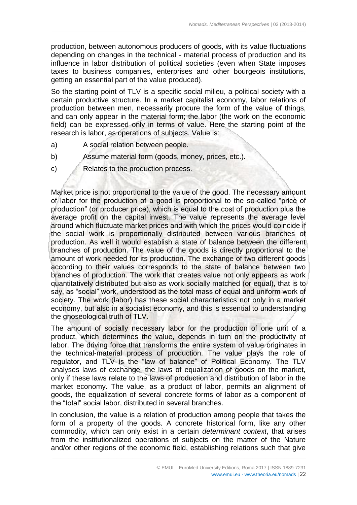production, between autonomous producers of goods, with its value fluctuations depending on changes in the technical - material process of production and its influence in labor distribution of political societies (even when State imposes taxes to business companies, enterprises and other bourgeois institutions, getting an essential part of the value produced).

 $\_$  ,  $\_$  ,  $\_$  ,  $\_$  ,  $\_$  ,  $\_$  ,  $\_$  ,  $\_$  ,  $\_$  ,  $\_$  ,  $\_$  ,  $\_$  ,  $\_$  ,  $\_$  ,  $\_$  ,  $\_$  ,  $\_$  ,  $\_$  ,  $\_$  ,  $\_$  ,  $\_$  ,  $\_$  ,  $\_$  ,  $\_$  ,  $\_$  ,  $\_$  ,  $\_$  ,  $\_$  ,  $\_$  ,  $\_$  ,  $\_$  ,  $\_$  ,  $\_$  ,  $\_$  ,  $\_$  ,  $\_$  ,  $\_$  ,

So the starting point of TLV is a specific social milieu, a political society with a certain productive structure. In a market capitalist economy, labor relations of production between men, necessarily procure the form of the value of things, and can only appear in the material form; the labor (the work on the economic field) can be expressed only in terms of value. Here the starting point of the research is labor, as operations of subjects. Value is:

- a) A social relation between people.
- b) Assume material form (goods, money, prices, etc.).
- c) Relates to the production process.

Market price is not proportional to the value of the good. The necessary amount of labor for the production of a good is proportional to the so-called "price of production" (or producer price), which is equal to the cost of production plus the average profit on the capital invest. The value represents the average level around which fluctuate market prices and with which the prices would coincide if the social work is proportionally distributed between various branches of production. As well it would establish a state of balance between the different branches of production. The value of the goods is directly proportional to the amount of work needed for its production. The exchange of two different goods according to their values corresponds to the state of balance between two branches of production. The work that creates value not only appears as work quantitatively distributed but also as work socially matched (or equal), that is to say, as "social" work, understood as the total mass of equal and uniform work of society. The work (labor) has these social characteristics not only in a market economy, but also in a socialist economy, and this is essential to understanding the gnoseological truth of TLV.

The amount of socially necessary labor for the production of one unit of a product, which determines the value, depends in turn on the productivity of labor. The driving force that transforms the entire system of value originates in the technical-material process of production. The value plays the role of regulator, and TLV is the "law of balance" of Political Economy. The TLV analyses laws of exchange, the laws of equalization of goods on the market, only if these laws relate to the laws of production and distribution of labor in the market economy. The value, as a product of labor, permits an alignment of goods, the equalization of several concrete forms of labor as a component of the "total" social labor, distributed in several branches.

In conclusion, the value is a relation of production among people that takes the form of a property of the goods. A concrete historical form, like any other commodity, which can only exist in a certain *determinant context*, that arises from the institutionalized operations of subjects on the matter of the Nature and/or other regions of the economic field, establishing relations such that give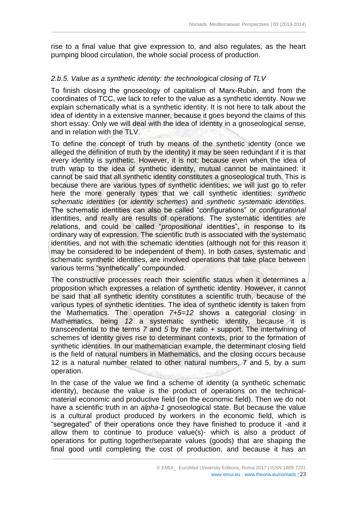rise to a final value that give expression to, and also regulates, as the heart pumping blood circulation, the whole social process of production.

 $\_$  ,  $\_$  ,  $\_$  ,  $\_$  ,  $\_$  ,  $\_$  ,  $\_$  ,  $\_$  ,  $\_$  ,  $\_$  ,  $\_$  ,  $\_$  ,  $\_$  ,  $\_$  ,  $\_$  ,  $\_$  ,  $\_$  ,  $\_$  ,  $\_$  ,  $\_$  ,  $\_$  ,  $\_$  ,  $\_$  ,  $\_$  ,  $\_$  ,  $\_$  ,  $\_$  ,  $\_$  ,  $\_$  ,  $\_$  ,  $\_$  ,  $\_$  ,  $\_$  ,  $\_$  ,  $\_$  ,  $\_$  ,  $\_$  ,

## *2.b.5. Value as a synthetic identity: the technological closing of TLV*

To finish closing the gnoseology of capitalism of Marx-Rubin, and from the coordinates of TCC, we lack to refer to the value as a synthetic identity. Now we explain schematically what is a synthetic identity. It is not here to talk about the idea of identity in a extensive manner, because it goes beyond the claims of this short essay. Only we will deal with the idea of identity in a gnoseological sense, and in relation with the TLV.

To define the concept of truth by means of the synthetic identity (once we alleged the definition of truth by the identity) it may be seen redundant if it is that every identity is synthetic. However, it is not; because even when the idea of truth wrap to the idea of synthetic identity, mutual cannot be maintained: it cannot be said that all synthetic identity constitutes a gnoseological truth. This is because there are various types of synthetic identities; we will just go to refer here the more generally types that we call synthetic identities: *synthetic schematic identities* (or *identity schemes*) and *synthetic systematic identities*. The schematic identities can also be called "configurations" or *configurational* identities, and really are results of operations. The systematic identities are relations, and could be called "*propositional* identities", in response to its ordinary way of expression. The scientific truth is associated with the systematic identities, and not with the schematic identities (although not for this reason it may be considered to be independent of them). In both cases, systematic and schematic synthetic identities, are involved operations that take place between various terms "synthetically" compounded.

The constructive processes reach their scientific status when it determines a proposition which expresses a relation of synthetic identity. However, it cannot be said that all synthetic identity constitutes a scientific truth, because of the various types of synthetic identities. The idea of synthetic identity is taken from the Mathematics. The operation *7+5=12* shows a categorial closing in Mathematics, being *12* a systematic synthetic identity, because it is transcendental to the terms *7* and *5* by the ratio *+* support. The intertwining of schemes of identity gives rise to determinant contexts, prior to the formation of synthetic identities. In our mathematician example, the determinant closing field is the field of natural numbers in Mathematics, and the closing occurs because 12 is a natural number related to other natural numbers, 7 and 5, by a sum operation.

In the case of the value we find a scheme of identity (a synthetic schematic identity), because the value is the product of operations on the technicalmaterial economic and productive field (on the economic field). Then we do not have a scientific truth in an *alpha-1* gnoseological state. But because the value is a cultural product produced by workers in the economic field, which is "segregated" of their operations once they have finished to produce it -and it allow them to continue to produce value(s)- which is also a product of operations for putting together/separate values (goods) that are shaping the final good until completing the cost of production, and because it has an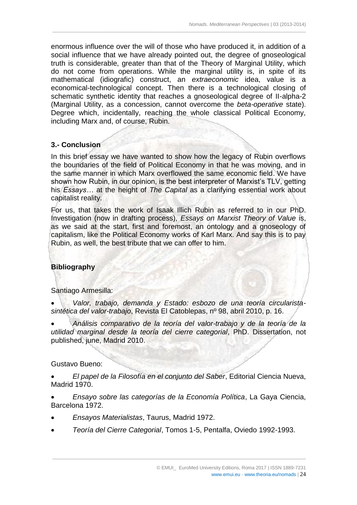enormous influence over the will of those who have produced it, in addition of a social influence that we have already pointed out, the degree of gnoseological truth is considerable, greater than that of the Theory of Marginal Utility, which do not come from operations. While the marginal utility is, in spite of its mathematical (idiografic) construct, an *extraeconomic* idea, value is a economical-technological concept. Then there is a technological closing of schematic synthetic identity that reaches a gnoseological degree of II-alpha-2 (Marginal Utility, as a concession, cannot overcome the *beta-operative* state). Degree which, incidentally, reaching the whole classical Political Economy, including Marx and, of course, Rubin.

 $\_$  ,  $\_$  ,  $\_$  ,  $\_$  ,  $\_$  ,  $\_$  ,  $\_$  ,  $\_$  ,  $\_$  ,  $\_$  ,  $\_$  ,  $\_$  ,  $\_$  ,  $\_$  ,  $\_$  ,  $\_$  ,  $\_$  ,  $\_$  ,  $\_$  ,  $\_$  ,  $\_$  ,  $\_$  ,  $\_$  ,  $\_$  ,  $\_$  ,  $\_$  ,  $\_$  ,  $\_$  ,  $\_$  ,  $\_$  ,  $\_$  ,  $\_$  ,  $\_$  ,  $\_$  ,  $\_$  ,  $\_$  ,  $\_$  ,

#### **3.- Conclusion**

In this brief essay we have wanted to show how the legacy of Rubin overflows the boundaries of the field of Political Economy in that he was moving, and in the same manner in which Marx overflowed the same economic field. We have shown how Rubin, in our opinion, is the best interpreter of Marxist's TLV, getting his *Essays…* at the height of *The Capital* as a clarifying essential work about capitalist reality.

For us, that takes the work of Isaak Illich Rubin as referred to in our PhD. Investigation (now in drafting process), *Essays on Marxist Theory of Value* is, as we said at the start, first and foremost, an ontology and a gnoseology of capitalism, like the Political Economy works of Karl Marx. And say this is to pay Rubin, as well, the best tribute that we can offer to him.

### **Bibliography**

Santiago Armesilla:

 *Valor, trabajo, demanda y Estado: esbozo de una teoría circularistasintética del valor-trabajo*, Revista El Catoblepas, nº 98, abril 2010, p. 16.

 *Análisis comparativo de la teoría del valor-trabajo y de la teoría de la utilidad marginal desde la teoría del cierre categorial*, PhD. Dissertation, not published, june, Madrid 2010.

Gustavo Bueno:

 *El papel de la Filosofía en el conjunto del Saber*, Editorial Ciencia Nueva, Madrid 1970.

 *Ensayo sobre las categorías de la Economía Política*, La Gaya Ciencia, Barcelona 1972.

- *Ensayos Materialistas*, Taurus, Madrid 1972.
- *Teoría del Cierre Categorial*, Tomos 1-5, Pentalfa, Oviedo 1992-1993.